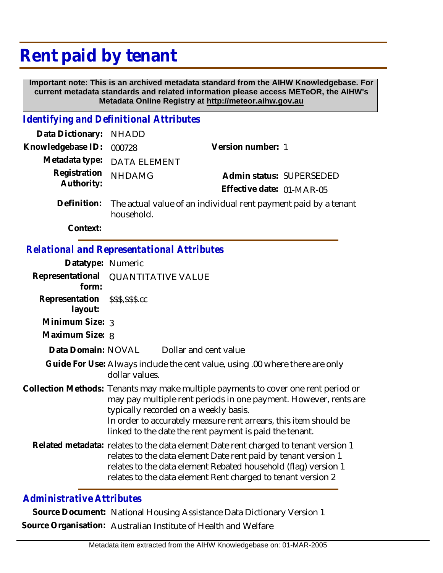## **Rent paid by tenant**

 **Important note: This is an archived metadata standard from the AIHW Knowledgebase. For current metadata standards and related information please access METeOR, the AIHW's Metadata Online Registry at http://meteor.aihw.gov.au**

## *Identifying and Definitional Attributes*

| Data Dictionary: NHADD   |                                                                          |                           |                          |
|--------------------------|--------------------------------------------------------------------------|---------------------------|--------------------------|
| Knowledgebase ID: 000728 |                                                                          | Version number: 1         |                          |
|                          | Metadata type: DATA ELEMENT                                              |                           |                          |
| Registration NHDAMG      |                                                                          |                           | Admin status: SUPERSEDED |
| Authority:               |                                                                          | Effective date: 01-MAR-05 |                          |
|                          | Definition: The actual value of an individual rent payment paid by a ter |                           |                          |

py a tenant household. **Definition:**

**Context:**

## *Relational and Representational Attributes*

| Datatype: Numeric         |                                                                                                                                                                                                                                                                                                                                |  |
|---------------------------|--------------------------------------------------------------------------------------------------------------------------------------------------------------------------------------------------------------------------------------------------------------------------------------------------------------------------------|--|
| Representational<br>form: | <b>QUANTITATIVE VALUE</b>                                                                                                                                                                                                                                                                                                      |  |
| Representation<br>layout: | \$\$\$,\$\$\$.cc                                                                                                                                                                                                                                                                                                               |  |
| Minimum Size: 3           |                                                                                                                                                                                                                                                                                                                                |  |
| Maximum Size: 8           |                                                                                                                                                                                                                                                                                                                                |  |
| Data Domain: NOVAL        | Dollar and cent value                                                                                                                                                                                                                                                                                                          |  |
|                           | Guide For Use: Always include the cent value, using .00 where there are only<br>dollar values.                                                                                                                                                                                                                                 |  |
|                           | Collection Methods: Tenants may make multiple payments to cover one rent period or<br>may pay multiple rent periods in one payment. However, rents are<br>typically recorded on a weekly basis.<br>In order to accurately measure rent arrears, this item should be<br>linked to the date the rent payment is paid the tenant. |  |
|                           | Related metadata: relates to the data element Date rent charged to tenant version 1<br>relates to the data element Date rent paid by tenant version 1<br>relates to the data element Rebated household (flag) version 1<br>relates to the data element Rent charged to tenant version 2                                        |  |

## *Administrative Attributes*

**Source Document:** National Housing Assistance Data Dictionary Version 1 **Source Organisation:** Australian Institute of Health and Welfare